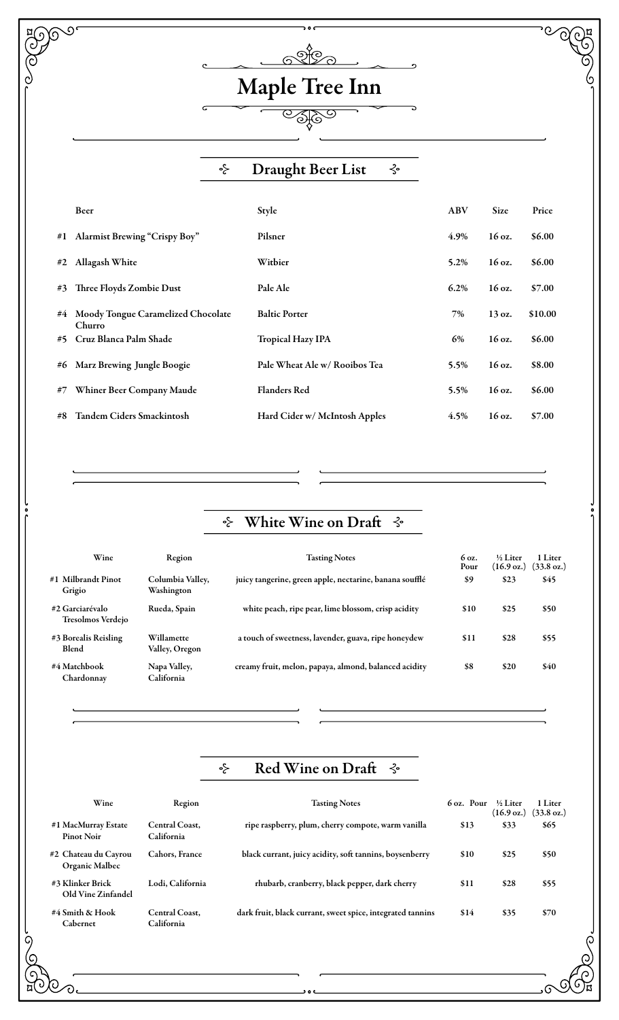# Maple Tree Inn

 $\overline{\text{CSPO}}$ 

 $\overline{\cdot}$ 

 $\overline{\phantom{a}}$ 

**BOOS** 

**COCH** 

Composition

 $\odot$ 

#### $\zeta$ Draught Beer List  $\zeta$

|    | Beer                                         | Style                         | <b>ABV</b> | <b>Size</b>      | Price   |
|----|----------------------------------------------|-------------------------------|------------|------------------|---------|
| #1 | <b>Alarmist Brewing "Crispy Boy"</b>         | Pilsner                       | 4.9%       | 16 oz.           | \$6.00  |
| #2 | Allagash White                               | Witbier                       | 5.2%       | 16 oz.           | \$6.00  |
| #3 | Three Floyds Zombie Dust                     | Pale Ale                      | 6.2%       | 16 oz.           | \$7.00  |
| #4 | Moody Tongue Caramelized Chocolate<br>Churro | <b>Baltic Porter</b>          | 7%         | 13 oz.           | \$10.00 |
| #5 | Cruz Blanca Palm Shade                       | <b>Tropical Hazy IPA</b>      | 6%         | $16 \text{ oz.}$ | \$6.00  |
| #6 | Marz Brewing Jungle Boogie                   | Pale Wheat Ale w/ Rooibos Tea | 5.5%       | 16 oz.           | \$8.00  |
| #7 | Whiner Beer Company Maude                    | <b>Flanders Red</b>           | 5.5%       | 16 oz.           | \$6.00  |
| #8 | <b>Tandem Ciders Smackintosh</b>             | Hard Cider w/ McIntosh Apples | 4.5%       | 16 oz.           | \$7.00  |

## $\div$  White Wine on Draft  $\div$

| Wine                                        | Region                         | <b>Tasting Notes</b>                                    | 6 oz.<br>Pour | 1/2 Liter<br>$(16.9 \text{ oz.})$ | 1 Liter<br>$(33.8 \text{ oz.})$ |
|---------------------------------------------|--------------------------------|---------------------------------------------------------|---------------|-----------------------------------|---------------------------------|
| #1 Milbrandt Pinot<br>Grigio                | Columbia Valley,<br>Washington | juicy tangerine, green apple, nectarine, banana soufflé | \$9           | \$23                              | \$45                            |
| #2 Garciarévalo<br><b>Tresolmos Verdejo</b> | Rueda, Spain                   | white peach, ripe pear, lime blossom, crisp acidity     | \$10          | \$25                              | \$50                            |
| #3 Borealis Reisling<br><b>Blend</b>        | Willamette<br>Valley, Oregon   | a touch of sweetness, lavender, guava, ripe honeydew    | \$11          | \$28                              | \$55                            |
| #4 Matchbook<br>Chardonnav                  | Napa Valley,<br>California     | creamy fruit, melon, papaya, almond, balanced acidity   | \$8           | \$20                              | \$40                            |

#### Red Wine on Draft  $\hat{\mathcal{S}}$  $\zeta$

| Wine                                     | Region                              | <b>Tasting Notes</b>                                       | 6 oz. Pour | ½ Liter<br>$(16.9 \text{ oz.})$ | 1 Liter<br>$(33.8 \text{ oz.})$ |
|------------------------------------------|-------------------------------------|------------------------------------------------------------|------------|---------------------------------|---------------------------------|
| #1 MacMurray Estate<br><b>Pinot Noir</b> | <b>Central Coast.</b><br>California | ripe raspberry, plum, cherry compote, warm vanilla         | \$13       | \$33                            | \$65                            |
| #2 Chateau du Cavrou<br>Organic Malbec   | <b>Cahors, France</b>               | black currant, juicy acidity, soft tannins, boysenberry    | \$10       | \$25                            | \$50                            |
| #3 Klinker Brick<br>Old Vine Zinfandel   | Lodi. California                    | rhubarb, cranberry, black pepper, dark cherry              | \$11       | \$28                            | \$55                            |
| #4 Smith & Hook<br>Cabernet              | Central Coast.<br>California        | dark fruit, black currant, sweet spice, integrated tannins | \$14       | \$35                            | \$70                            |

ه ه و